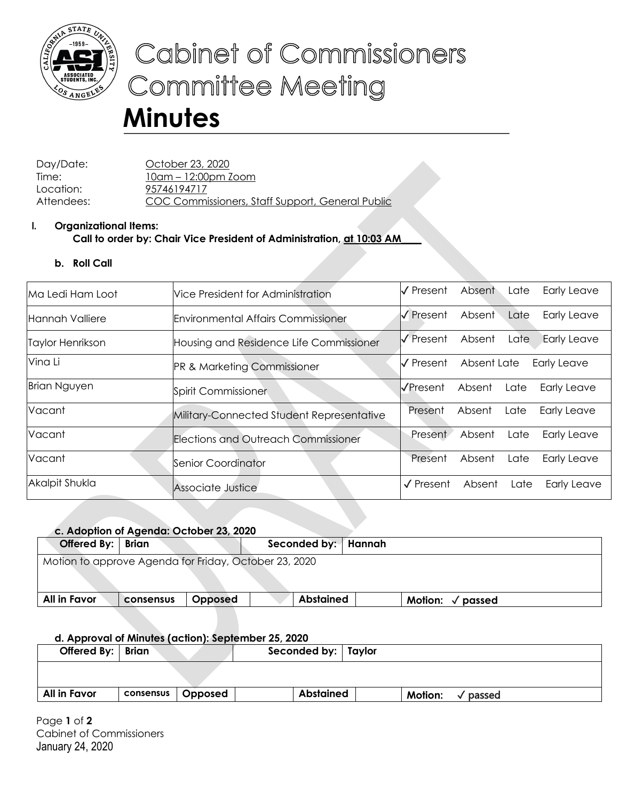

# Cabinet of Commissioners **Committee Meeting**

# **Minutes**

Day/Date: October 23, 2020 Time: 10am – 12:00pm Zoom Location: 95746194717 Attendees: COC Commissioners, Staff Support, General Public

## **I. Organizational Items: Call to order by: Chair Vice President of Administration, at 10:03 AM\_\_\_\_**

### **b. Roll Call**

| Ma Ledi Ham Loot    | Vice President for Administration         | √ Present                    | Absent      | Late | <b>Early Leave</b> |
|---------------------|-------------------------------------------|------------------------------|-------------|------|--------------------|
| lHannah Valliere    | <b>Environmental Affairs Commissioner</b> | I√ Present                   | Absent      | Late | <b>Early Leave</b> |
| Taylor Henrikson    | Housing and Residence Life Commissioner   | I√ Present<br>Absent<br>Late |             |      | <b>Early Leave</b> |
| Vina Li             | <b>PR &amp; Marketing Commissioner</b>    | I√ Present                   | Absent Late |      | <b>Early Leave</b> |
| <b>Brian Nguyen</b> | Spirit Commissioner                       | <b>I√Present</b>             | Absent      | Late | <b>Early Leave</b> |
| Vacant              | Military-Connected Student Representative | Present                      | Absent      | Late | Early Leave        |
| Vacant              | Elections and Outreach Commissioner       | Present                      | Absent      | Late | Early Leave        |
| Vacant              | Senior Coordinator                        | Present                      | Absent      | Late | Early Leave        |
| Akalpit Shukla      | Associate Justice                         | $\sqrt{\ }$ Present          | Absent      | Late | <b>Early Leave</b> |

| c. Adoption of Agenda: October 23, 2020               |           |         |                     |                  |                              |  |  |
|-------------------------------------------------------|-----------|---------|---------------------|------------------|------------------------------|--|--|
| Offered By:   Brian                                   |           |         | Seconded by: Hannah |                  |                              |  |  |
| Motion to approve Agenda for Friday, October 23, 2020 |           |         |                     |                  |                              |  |  |
| All in Favor                                          | consensus | Opposed |                     | <b>Abstained</b> | Motion: $\sqrt{ }$<br>passed |  |  |

#### **d. Approval of Minutes (action): September 25, 2020**

| Offered By:   Brian |           |         | Seconded by:   Taylor |                |          |
|---------------------|-----------|---------|-----------------------|----------------|----------|
|                     |           |         |                       |                |          |
| All in Favor        | consensus | Opposed | <b>Abstained</b>      | <b>Motion:</b> | ' passed |

Page **1** of **2** Cabinet of Commissioners January 24, 2020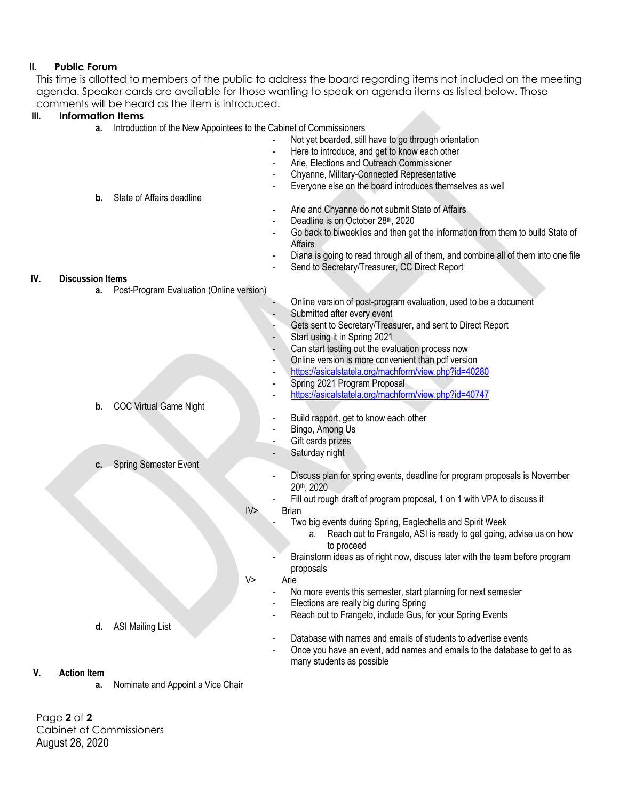#### **II. Public Forum**

This time is allotted to members of the public to address the board regarding items not included on the meeting agenda. Speaker cards are available for those wanting to speak on agenda items as listed below. Those comments will be heard as the item is introduced.

#### **III. Information Items**

- **a.** Introduction of the New Appointees to the Cabinet of Commissioners
	- Not yet boarded, still have to go through orientation
	- Here to introduce, and get to know each other
	- Arie, Elections and Outreach Commissioner
	- Chyanne, Military-Connected Representative
	- Everyone else on the board introduces themselves as well
- **b.** State of Affairs deadline
- Arie and Chyanne do not submit State of Affairs
- Deadline is on October 28th, 2020
- Go back to biweeklies and then get the information from them to build State of **Affairs**
- Diana is going to read through all of them, and combine all of them into one file
	- Send to Secretary/Treasurer, CC Direct Report

#### **IV. Discussion Items**

- **a.** Post-Program Evaluation (Online version)
- Online version of post-program evaluation, used to be a document Submitted after every event Gets sent to Secretary/Treasurer, and sent to Direct Report Start using it in Spring 2021 Can start testing out the evaluation process now Online version is more convenient than pdf version https://asicalstatela.org/machform/view.php?id=40280 Spring 2021 Program Proposal - https://asicalstatela.org/machform/view.php?id=40747 **b.** COC Virtual Game Night Build rapport, get to know each other Bingo, Among Us Gift cards prizes Saturday night **c.** Spring Semester Event Discuss plan for spring events, deadline for program proposals is November 20th, 2020 Fill out rough draft of program proposal, 1 on 1 with VPA to discuss it IV> Brian Two big events during Spring, Eaglechella and Spirit Week a. Reach out to Frangelo, ASI is ready to get going, advise us on how to proceed Brainstorm ideas as of right now, discuss later with the team before program proposals V> Arie No more events this semester, start planning for next semester Elections are really big during Spring Reach out to Frangelo, include Gus, for your Spring Events **d.** ASI Mailing List Database with names and emails of students to advertise events - Once you have an event, add names and emails to the database to get to as many students as possible **V. Action Item** 
	- - **a.** Nominate and Appoint a Vice Chair